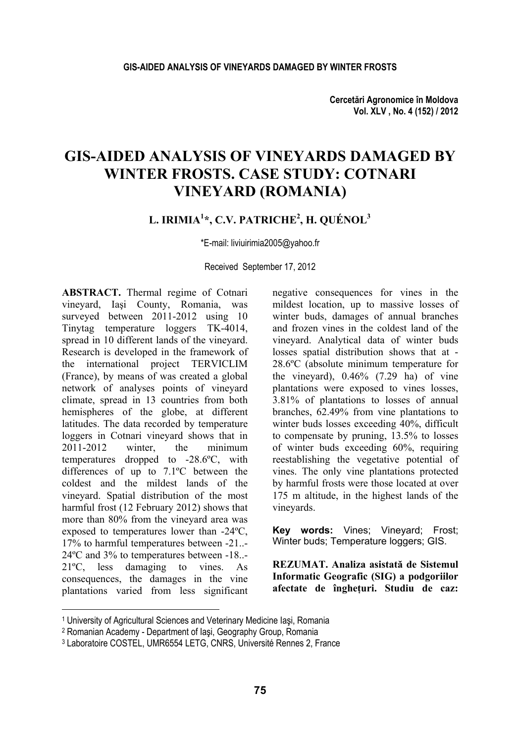**Cercetări Agronomice în Moldova Vol. XLV , No. 4 (152) / 2012** 

# **GIS-AIDED ANALYSIS OF VINEYARDS DAMAGED BY WINTER FROSTS. CASE STUDY: COTNARI VINEYARD (ROMANIA)**

### **L. IRIMIA1 \*, C.V. PATRICHE2 , H. QUÉNOL3**

\*E-mail: liviuirimia2005@yahoo.fr

Received September 17, 2012

**ABSTRACT.** Thermal regime of Cotnari vineyard, Iaşi County, Romania, was surveyed between 2011-2012 using 10 Tinytag temperature loggers TK-4014, spread in 10 different lands of the vineyard. Research is developed in the framework of the international project TERVICLIM (France), by means of was created a global network of analyses points of vineyard climate, spread in 13 countries from both hemispheres of the globe, at different latitudes. The data recorded by temperature loggers in Cotnari vineyard shows that in 2011-2012 winter, the minimum temperatures dropped to -28.6ºC, with differences of up to 7.1ºC between the coldest and the mildest lands of the vineyard. Spatial distribution of the most harmful frost (12 February 2012) shows that more than 80% from the vineyard area was exposed to temperatures lower than -24ºC, 17% to harmful temperatures between -21..- 24ºC and 3% to temperatures between -18..- 21ºC, less damaging to vines. As consequences, the damages in the vine plantations varied from less significant

l

negative consequences for vines in the mildest location, up to massive losses of winter buds, damages of annual branches and frozen vines in the coldest land of the vineyard. Analytical data of winter buds losses spatial distribution shows that at - 28.6ºC (absolute minimum temperature for the vineyard),  $0.46\%$  (7.29 ha) of vine plantations were exposed to vines losses, 3.81% of plantations to losses of annual branches, 62.49% from vine plantations to winter buds losses exceeding 40%, difficult to compensate by pruning, 13.5% to losses of winter buds exceeding 60%, requiring reestablishing the vegetative potential of vines. The only vine plantations protected by harmful frosts were those located at over 175 m altitude, in the highest lands of the vineyards.

**Key words:** Vines; Vineyard; Frost; Winter buds: Temperature loggers; GIS.

**REZUMAT. Analiza asistată de Sistemul Informatic Geografic (SIG) a podgoriilor afectate de îngheţuri. Studiu de caz:** 

<sup>1</sup> University of Agricultural Sciences and Veterinary Medicine Iaşi, Romania<br><sup>2</sup> Romanian Academy - Department of Iaşi, Geography Group, Romania<br><sup>3</sup> Laboratoire COSTEL, UMR6554 LETG, CNRS, Université Rennes 2, France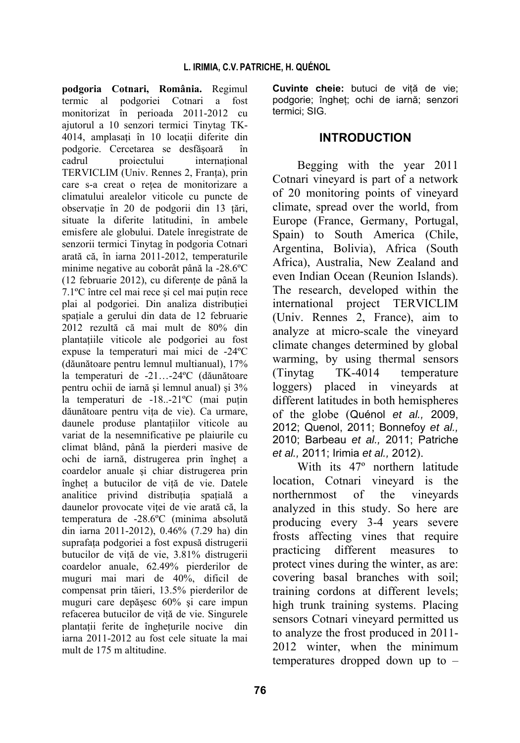**podgoria Cotnari, România.** Regimul termic al podgoriei Cotnari a fost monitorizat în perioada 2011-2012 cu ajutorul a 10 senzori termici Tinytag TK-4014, amplasați în 10 locații diferite din podgorie. Cercetarea se desfăşoară în cadrul proiectului international TERVICLIM (Univ. Rennes 2, Franţa), prin care s-a creat o reţea de monitorizare a climatului arealelor viticole cu puncte de observaţie în 20 de podgorii din 13 ţări, situate la diferite latitudini, în ambele emisfere ale globului. Datele înregistrate de senzorii termici Tinytag în podgoria Cotnari arată că, în iarna 2011-2012, temperaturile minime negative au coborât până la -28.6ºC (12 februarie 2012), cu diferente de până la 7.1<sup>o</sup>C între cel mai rece și cel mai puțin rece plai al podgoriei. Din analiza distribuției spatiale a gerului din data de 12 februarie 2012 rezultă că mai mult de 80% din plantaţiile viticole ale podgoriei au fost expuse la temperaturi mai mici de -24ºC (dăunătoare pentru lemnul multianual), 17% la temperaturi de -21…-24ºC (dăunătoare pentru ochii de iarnă şi lemnul anual) şi 3% la temperaturi de  $-18...21$ °C (mai putin dăunătoare pentru vita de vie). Ca urmare, daunele produse plantatiilor viticole au variat de la nesemnificative pe plaiurile cu climat blând, până la pierderi masive de ochi de iarnă, distrugerea prin îngheţ a coardelor anuale şi chiar distrugerea prin înghet a butucilor de vită de vie. Datele analitice privind distributia spatială a daunelor provocate viței de vie arată că, la temperatura de -28.6ºC (minima absolută din iarna 2011-2012), 0.46% (7.29 ha) din suprafaţa podgoriei a fost expusă distrugerii butucilor de viță de vie, 3.81% distrugerii coardelor anuale, 62.49% pierderilor de muguri mai mari de 40%, dificil de compensat prin tăieri, 13.5% pierderilor de muguri care depăşesc 60% şi care impun refacerea butucilor de viţă de vie. Singurele plantatii ferite de îngheturile nocive din iarna 2011-2012 au fost cele situate la mai mult de 175 m altitudine.

northernmost of the vineyards analyzed in this study. So here are producing every 3-4 years severe frosts affecting vines that require practicing different measures to protect vines during the winter, as are: covering basal branches with soil; training cordons at different levels; high trunk training systems. Placing sensors Cotnari vineyard permitted us to analyze the frost produced in 2011- 2012 winter, when the minimum temperatures dropped down up to –

*et al.,* 2011; Irimia *et al.,* 2012).

With its 47º northern latitude location, Cotnari vineyard is the

### **INTRODUCTION**

Begging with the year 2011 Cotnari vineyard is part of a network of 20 monitoring points of vineyard climate, spread over the world, from Europe (France, Germany, Portugal, Spain) to South America (Chile, Argentina, Bolivia), Africa (South Africa), Australia, New Zealand and even Indian Ocean (Reunion Islands). The research, developed within the international project TERVICLIM (Univ. Rennes 2, France), aim to analyze at micro-scale the vineyard climate changes determined by global warming, by using thermal sensors (Tinytag TK-4014 temperature loggers) placed in vineyards at different latitudes in both hemispheres of the globe (Quénol *et al.,* 2009, 2012; Quenol, 2011; Bonnefoy *et al.,* 2010; Barbeau *et al.,* 2011; Patriche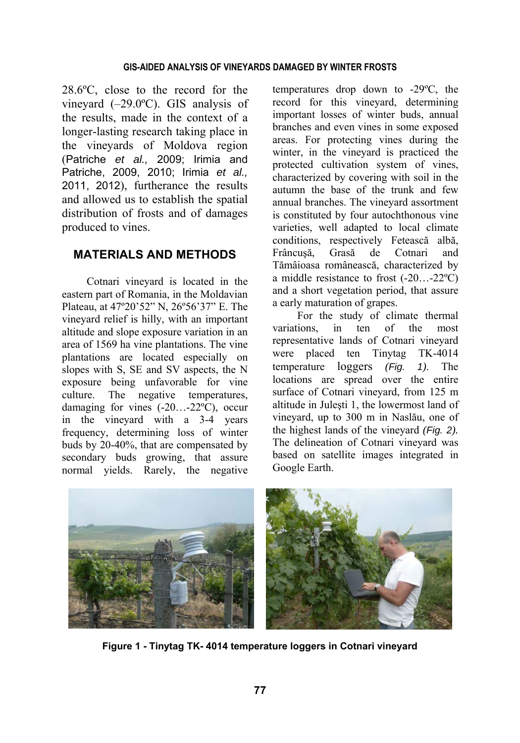#### **GIS-AIDED ANALYSIS OF VINEYARDS DAMAGED BY WINTER FROSTS**

28.6ºC, close to the record for the vineyard (–29.0ºC). GIS analysis of the results, made in the context of a longer-lasting research taking place in the vineyards of Moldova region (Patriche *et al.,* 2009; Irimia and Patriche, 2009, 2010; Irimia *et al.,* 2011, 2012), furtherance the results and allowed us to establish the spatial distribution of frosts and of damages produced to vines.

## **MATERIALS AND METHODS**

Cotnari vineyard is located in the eastern part of Romania, in the Moldavian Plateau, at 47º20'52" N, 26º56'37" E. The vineyard relief is hilly, with an important altitude and slope exposure variation in an area of 1569 ha vine plantations. The vine plantations are located especially on slopes with S, SE and SV aspects, the N exposure being unfavorable for vine culture. The negative temperatures, damaging for vines (-20…-22ºC), occur in the vineyard with a 3-4 years frequency, determining loss of winter buds by 20-40%, that are compensated by secondary buds growing, that assure normal yields. Rarely, the negative

temperatures drop down to -29ºC, the record for this vineyard, determining important losses of winter buds, annual branches and even vines in some exposed areas. For protecting vines during the winter, in the vineyard is practiced the protected cultivation system of vines, characterized by covering with soil in the autumn the base of the trunk and few annual branches. The vineyard assortment is constituted by four autochthonous vine varieties, well adapted to local climate conditions, respectively Fetească albă, Frâncuşă, Grasă de Cotnari and Tămâioasa românească, characterized by a middle resistance to frost (-20…-22ºC) and a short vegetation period, that assure a early maturation of grapes.

For the study of climate thermal variations, in ten of the most representative lands of Cotnari vineyard were placed ten Tinytag TK-4014 temperature loggers *(Fig. 1)*. The locations are spread over the entire surface of Cotnari vineyard, from 125 m altitude in Juleşti 1, the lowermost land of vineyard, up to 300 m in Naslău, one of the highest lands of the vineyard *(Fig. 2).* The delineation of Cotnari vineyard was based on satellite images integrated in Google Earth.



**Figure 1 - Tinytag TK- 4014 temperature loggers in Cotnari vineyard**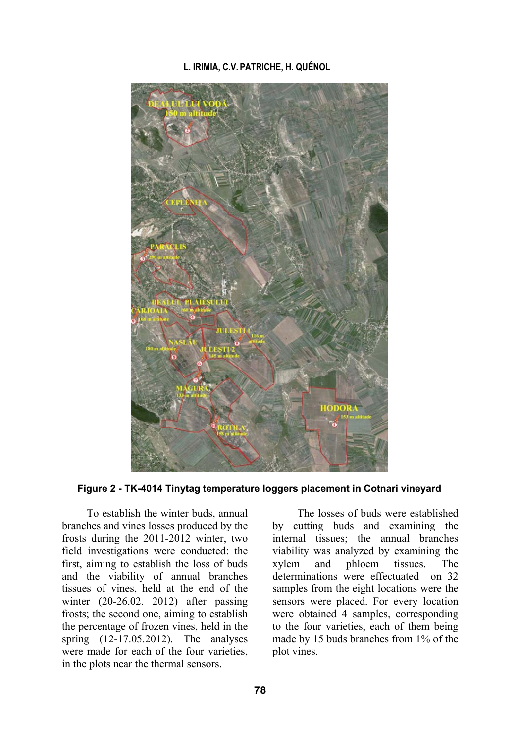

**Figure 2 - TK-4014 Tinytag temperature loggers placement in Cotnari vineyard** 

To establish the winter buds, annual branches and vines losses produced by the frosts during the 2011-2012 winter, two field investigations were conducted: the first, aiming to establish the loss of buds and the viability of annual branches tissues of vines, held at the end of the winter (20-26.02, 2012) after passing frosts; the second one, aiming to establish the percentage of frozen vines, held in the spring (12-17.05.2012). The analyses were made for each of the four varieties, in the plots near the thermal sensors.

The losses of buds were established by cutting buds and examining the internal tissues; the annual branches viability was analyzed by examining the xylem and phloem tissues. The determinations were effectuated on 32 samples from the eight locations were the sensors were placed. For every location were obtained 4 samples, corresponding to the four varieties, each of them being made by 15 buds branches from 1% of the plot vines.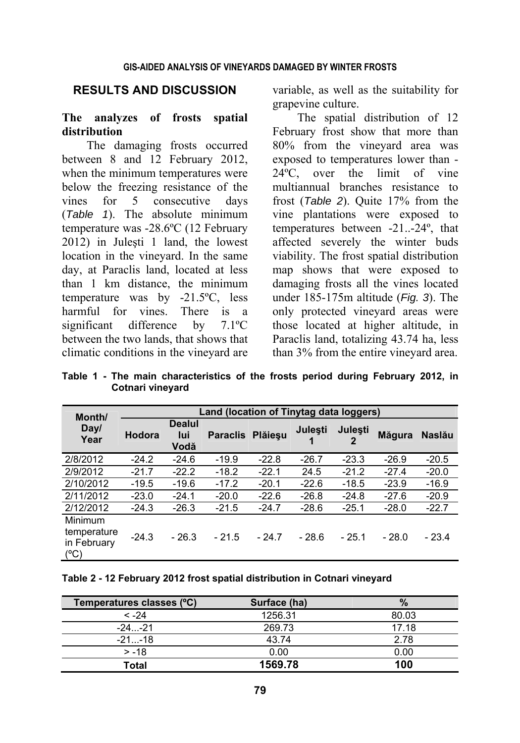#### **RESULTS AND DISCUSSION**

#### **The analyzes of frosts spatial distribution**

The damaging frosts occurred between 8 and 12 February 2012, when the minimum temperatures were below the freezing resistance of the vines for 5 consecutive days (*Table 1*). The absolute minimum temperature was -28.6ºC (12 February 2012) in Juleşti 1 land, the lowest location in the vineyard. In the same day, at Paraclis land, located at less than 1 km distance, the minimum temperature was by -21.5ºC, less harmful for vines. There is a significant difference by 7.1ºC between the two lands, that shows that climatic conditions in the vineyard are

variable, as well as the suitability for grapevine culture.

The spatial distribution of 12 February frost show that more than 80% from the vineyard area was exposed to temperatures lower than - 24ºC, over the limit of vine multiannual branches resistance to frost (*Table 2*). Quite 17% from the vine plantations were exposed to temperatures between -21..-24º, that affected severely the winter buds viability. The frost spatial distribution map shows that were exposed to damaging frosts all the vines located under 185-175m altitude (*Fig. 3*). The only protected vineyard areas were those located at higher altitude, in Paraclis land, totalizing 43.74 ha, less than 3% from the entire vineyard area.

**Table 1 - The main characteristics of the frosts period during February 2012, in Cotnari vineyard** 

| Month/                                               | Land (location of Tinytag data loggers) |                              |                 |         |                |                |                |               |  |  |  |
|------------------------------------------------------|-----------------------------------------|------------------------------|-----------------|---------|----------------|----------------|----------------|---------------|--|--|--|
| Day/<br>Year                                         | Hodora                                  | <b>Dealul</b><br>lui<br>Vodă | <b>Paraclis</b> | Plăieșu | <b>Julesti</b> | <b>Julesti</b> | <b>M</b> ăqura | <b>Naslău</b> |  |  |  |
| 2/8/2012                                             | $-24.2$                                 | $-24.6$                      | $-19.9$         | $-22.8$ | $-26.7$        | $-23.3$        | $-26.9$        | $-20.5$       |  |  |  |
| 2/9/2012                                             | $-21.7$                                 | $-22.2$                      | $-18.2$         | $-22.1$ | 24.5           | $-21.2$        | $-27.4$        | $-20.0$       |  |  |  |
| 2/10/2012                                            | $-19.5$                                 | $-19.6$                      | $-17.2$         | $-20.1$ | $-22.6$        | $-18.5$        | $-23.9$        | $-16.9$       |  |  |  |
| 2/11/2012                                            | $-23.0$                                 | $-24.1$                      | $-20.0$         | $-22.6$ | $-26.8$        | $-24.8$        | $-27.6$        | $-20.9$       |  |  |  |
| 2/12/2012                                            | $-24.3$                                 | $-26.3$                      | $-21.5$         | $-24.7$ | $-28.6$        | $-25.1$        | $-28.0$        | $-22.7$       |  |  |  |
| <b>Minimum</b><br>temperature<br>in February<br>(°C) | $-24.3$                                 | $-26.3$                      | $-21.5$         | $-24.7$ | $-28.6$        | $-25.1$        | $-28.0$        | $-23.4$       |  |  |  |

**Table 2 - 12 February 2012 frost spatial distribution in Cotnari vineyard** 

| Temperatures classes (°C) | Surface (ha) | $\%$  |
|---------------------------|--------------|-------|
| $< -24$                   | 1256.31      | 80.03 |
| $-24 - 21$                | 269.73       | 17.18 |
| $-21-18$                  | 43.74        | 2.78  |
| $> -18$                   | 0.00         | 0.00  |
| Total                     | 1569.78      | 100   |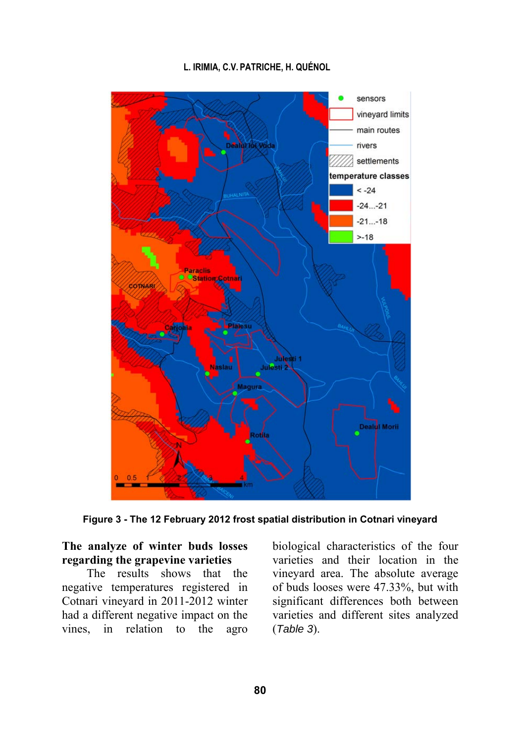

**Figure 3 - The 12 February 2012 frost spatial distribution in Cotnari vineyard**

# **The analyze of winter buds losses regarding the grapevine varieties**

The results shows that the negative temperatures registered in Cotnari vineyard in 2011-2012 winter had a different negative impact on the vines, in relation to the agro

biological characteristics of the four varieties and their location in the vineyard area. The absolute average of buds looses were 47.33%, but with significant differences both between varieties and different sites analyzed (*Table 3*).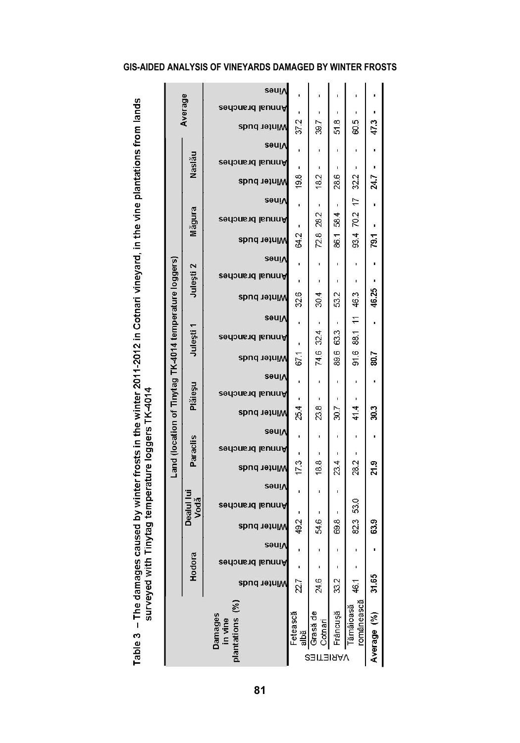|                                                                                                                                                         |                                                                   |                   | səui∧                                |          |                     |          |                         |             |
|---------------------------------------------------------------------------------------------------------------------------------------------------------|-------------------------------------------------------------------|-------------------|--------------------------------------|----------|---------------------|----------|-------------------------|-------------|
|                                                                                                                                                         |                                                                   | Average           | Annual branches                      |          |                     |          |                         |             |
|                                                                                                                                                         |                                                                   |                   | Winter buds                          | 372      | 39.7                | 518      | 60.5                    | 473         |
|                                                                                                                                                         |                                                                   |                   | <b>sauiv</b>                         | ï        |                     | ı        |                         |             |
|                                                                                                                                                         |                                                                   | Nasläu            | Annual branches                      | ı        | ı                   | ı        |                         |             |
|                                                                                                                                                         |                                                                   |                   | Winter buds                          | 19.8     | 18.2                | 28.6     | 32.2                    | 24.7        |
|                                                                                                                                                         |                                                                   |                   | <b>Seuly</b>                         | ï        | ı                   | ı        |                         |             |
|                                                                                                                                                         |                                                                   | Măgura            | Annual branches                      |          | 28.2                | 584      |                         |             |
|                                                                                                                                                         |                                                                   |                   | Winter buds                          | 64.2     | 72.8                | 86.1     | 93.4 70.2 17            | 79.1        |
|                                                                                                                                                         |                                                                   |                   | səuļ∧                                |          |                     | ï        |                         |             |
|                                                                                                                                                         |                                                                   | Julești 2         | Annual branches                      |          |                     |          |                         |             |
|                                                                                                                                                         |                                                                   |                   | Winter buds                          | 326      | 30.4                | 532      | 46.3                    | 46.25       |
|                                                                                                                                                         |                                                                   |                   | <b>Sauly</b>                         | ï        | ī                   | ı        |                         |             |
|                                                                                                                                                         | Land (location of Tinytag TK-4014 temperature loggers)<br>Julești |                   | Annual branches                      |          | 32.4                | 633      | 88.1 11                 |             |
|                                                                                                                                                         |                                                                   |                   | Winter buds                          | 671      | 74.6                | 89.6     | 91.6                    | 2003        |
|                                                                                                                                                         |                                                                   |                   | <b>Seulv</b>                         | ı        |                     | ı        |                         |             |
|                                                                                                                                                         |                                                                   | Pláiesu           | Annual branches                      |          |                     |          |                         |             |
|                                                                                                                                                         |                                                                   |                   | Winter buds                          | 25.4     | 23.8                | 30.7     | 41.4                    | 30.3        |
|                                                                                                                                                         |                                                                   |                   | səuı∧                                | ı        |                     | ı        |                         |             |
|                                                                                                                                                         |                                                                   | Paraclis          | Annual branches                      |          |                     |          |                         |             |
|                                                                                                                                                         |                                                                   |                   | Winter buds                          | 173      | 18.8                | 23.4     | 28.2                    | 21.9        |
|                                                                                                                                                         |                                                                   |                   | səuļ∧                                | t        |                     | ı        |                         |             |
|                                                                                                                                                         |                                                                   | Dealul lu<br>Vodă | Annual branches                      |          |                     |          | 53.0                    |             |
| les caused by winter frosts in the winter 2011-2012 in Cotnari vineyard, in the vine plantations from lands<br>vith Tinytag temperature loggers TK-4014 |                                                                   |                   | Winter buds                          | 49.2     | 54.6                | 69.8     | 82.3                    | 63.9        |
|                                                                                                                                                         |                                                                   |                   | səuị∧                                | ı        |                     |          |                         |             |
|                                                                                                                                                         |                                                                   | Hodora            | Annual branches                      |          |                     |          |                         |             |
| Table 3 - The damag<br>surveyed                                                                                                                         |                                                                   |                   | Minter buds                          | 27       | 24.6                | 33.2     | 46.1                    | 31.65       |
|                                                                                                                                                         |                                                                   |                   |                                      |          |                     |          |                         |             |
|                                                                                                                                                         |                                                                   |                   |                                      | Fetească |                     | Frâncuşă | românească<br>Tămâioasă |             |
|                                                                                                                                                         |                                                                   |                   | plantations (%<br>Damages<br>in vine | albă     | Grasă de<br>Cotnari |          |                         | Average (%) |
|                                                                                                                                                         |                                                                   |                   |                                      |          | <b>VARIETIES</b>    |          |                         |             |

### **GIS-AIDED ANALYSIS OF VINEYARDS DAMAGED BY WINTER FROSTS**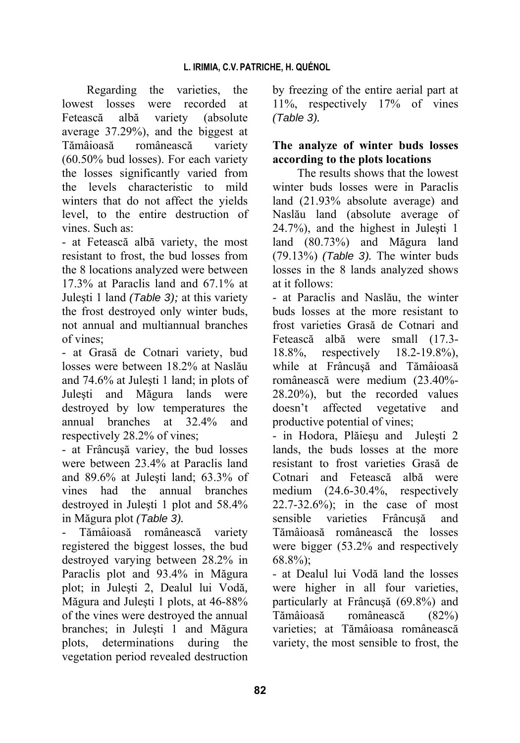Regarding the varieties, the lowest losses were recorded at Fetească albă variety (absolute average 37.29%), and the biggest at Tămâioasă românească variety (60.50% bud losses). For each variety the losses significantly varied from the levels characteristic to mild winters that do not affect the yields level, to the entire destruction of vines. Such as:

- at Fetească albă variety, the most resistant to frost, the bud losses from the 8 locations analyzed were between 17.3% at Paraclis land and 67.1% at Juleşti 1 land *(Table 3);* at this variety the frost destroyed only winter buds, not annual and multiannual branches of vines;

- at Grasă de Cotnari variety, bud losses were between 18.2% at Naslău and 74.6% at Juleşti 1 land; in plots of Juleşti and Măgura lands were destroyed by low temperatures the annual branches at 32.4% and respectively 28.2% of vines;

- at Frâncuşă variey, the bud losses were between 23.4% at Paraclis land and 89.6% at Juleşti land; 63.3% of vines had the annual branches destroyed in Juleşti 1 plot and 58.4% in Măgura plot *(Table 3).* 

- Tămâioasă românească variety registered the biggest losses, the bud destroyed varying between 28.2% in Paraclis plot and 93.4% in Măgura plot; in Juleşti 2, Dealul lui Vodă*,*  Măgura and Juleşti 1 plots, at 46-88% of the vines were destroyed the annual branches; in Juleşti 1 and Măgura plots, determinations during the vegetation period revealed destruction

by freezing of the entire aerial part at 11%, respectively 17% of vines *(Table 3).*

# **The analyze of winter buds losses according to the plots locations**

The results shows that the lowest winter buds losses were in Paraclis land (21.93% absolute average) and Naslău land (absolute average of 24.7%), and the highest in Juleşti 1 land (80.73%) and Măgura land (79.13%) *(Table 3).* The winter buds losses in the 8 lands analyzed shows at it follows:

- at Paraclis and Naslău, the winter buds losses at the more resistant to frost varieties Grasă de Cotnari and Fetească albă were small (17.3- 18.8%, respectively 18.2-19.8%), while at Frâncuşă and Tămâioasă românească were medium (23.40%- 28.20%), but the recorded values doesn't affected vegetative and productive potential of vines;

- in Hodora, Plăieşu and Juleşti 2 lands, the buds losses at the more resistant to frost varieties Grasă de Cotnari and Fetească albă were medium (24.6-30.4%, respectively 22.7-32.6%); in the case of most sensible varieties Frâncuşă and Tămâioasă românească the losses were bigger (53.2% and respectively 68.8%);

- at Dealul lui Vodă land the losses were higher in all four varieties, particularly at Frâncuşă (69.8%) and Tămâioasă românească (82%) varieties; at Tămâioasa românească variety, the most sensible to frost, the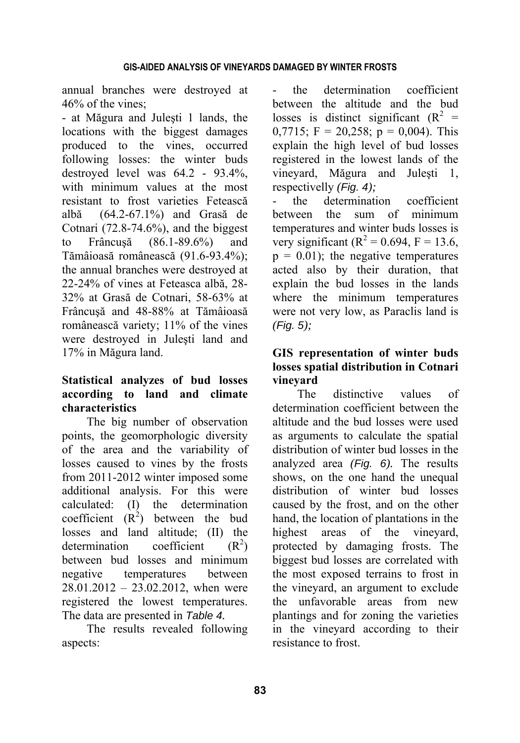annual branches were destroyed at 46% of the vines;

- at Măgura and Juleşti 1 lands, the locations with the biggest damages produced to the vines, occurred following losses: the winter buds destroyed level was 64.2 - 93.4%, with minimum values at the most resistant to frost varieties Fetească albă(64.2-67.1%) and Grasă de Cotnari  $(72.8-74.6%)$ , and the biggest to Frâncuşă (86.1-89.6%) and Tămâioasă românească (91.6-93.4%); the annual branches were destroyed at 22-24% of vines at Feteasca albă, 28- 32% at Grasă de Cotnari, 58-63% at Frâncuşă and 48-88% at Tămâioasă românească variety; 11% of the vines were destroyed in Juleşti land and 17% in Măgura land.

# **Statistical analyzes of bud losses according to land and climate characteristics**

The big number of observation points, the geomorphologic diversity of the area and the variability of losses caused to vines by the frosts from 2011-2012 winter imposed some additional analysis. For this were calculated: (I) the determination coefficient  $(R^2)$  between the bud losses and land altitude; (II) the determination coefficient  $(R<sup>2</sup>)$ between bud losses and minimum negative temperatures between 28.01.2012 – 23.02.2012, when were registered the lowest temperatures. The data are presented in *Table 4.*

The results revealed following aspects:

the determination coefficient between the altitude and the bud losses is distinct significant  $(R^2 =$ 0,7715;  $F = 20,258$ ;  $p = 0,004$ ). This explain the high level of bud losses registered in the lowest lands of the vineyard, Măgura and Juleşti 1, respectivelly *(Fig. 4);* 

- the determination coefficient between the sum of minimum temperatures and winter buds losses is very significant ( $R^2 = 0.694$ , F = 13.6,  $p = 0.01$ ; the negative temperatures acted also by their duration, that explain the bud losses in the lands where the minimum temperatures were not very low, as Paraclis land is *(Fig. 5);* 

# **GIS representation of winter buds losses spatial distribution in Cotnari vineyard**

The distinctive values of determination coefficient between the altitude and the bud losses were used as arguments to calculate the spatial distribution of winter bud losses in the analyzed area *(Fig. 6).* The results shows, on the one hand the unequal distribution of winter bud losses caused by the frost, and on the other hand, the location of plantations in the highest areas of the vineyard, protected by damaging frosts. The biggest bud losses are correlated with the most exposed terrains to frost in the vineyard, an argument to exclude the unfavorable areas from new plantings and for zoning the varieties in the vineyard according to their resistance to frost.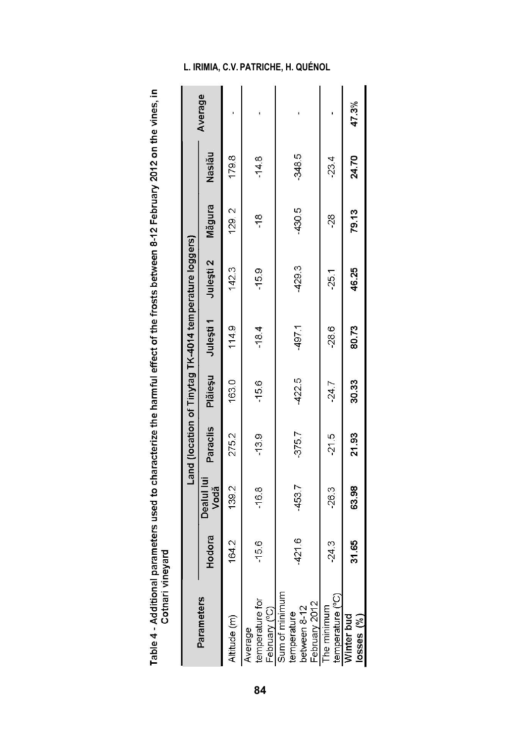| ĺ<br>֖֖֖ׅׅ֚֚֚֚֚֚֚֚֚֚֚֚֚֚֬֡֡֡֡֡֬֝֬֓֡֬֝֬֝֓֬֝֬֝֓֬֝֬֓֬֝֓֬֝֬֓֬֝֓֬֝֓֬֝֬ |                          |
|-------------------------------------------------------------------|--------------------------|
|                                                                   |                          |
|                                                                   |                          |
|                                                                   |                          |
|                                                                   |                          |
|                                                                   |                          |
|                                                                   |                          |
|                                                                   |                          |
|                                                                   |                          |
|                                                                   |                          |
|                                                                   |                          |
|                                                                   |                          |
|                                                                   |                          |
|                                                                   |                          |
|                                                                   |                          |
|                                                                   |                          |
|                                                                   |                          |
|                                                                   |                          |
|                                                                   |                          |
|                                                                   |                          |
|                                                                   | ĺ                        |
| l<br>5<br>ŕ<br>Ę                                                  | $\frac{1}{2}$            |
| í                                                                 | j<br>$\overline{a}$<br>ţ |
| ij                                                                | $\overline{a}$<br>j<br>Í |
| l                                                                 |                          |
| í<br>ण<br>न<br>न<br>3                                             |                          |
| Ī<br>י<br>ו                                                       |                          |

|                                                                                   |          |                    |          |          |           | Land (location of Tinytag TK-4014 temperature loggers) |               |          |         |
|-----------------------------------------------------------------------------------|----------|--------------------|----------|----------|-----------|--------------------------------------------------------|---------------|----------|---------|
| Parameters                                                                        | Hodora   | Dealul lui<br>Vodă | Paraclis | Plăieșu  | Julești 1 | Julești 2                                              | Măgura        | Nasläu   | Average |
| Altitude (m)                                                                      | 164.2    | 139.2              | 275.2    | 1630     | 114.9     | 142.3                                                  | 129.2         | 179.8    |         |
| Average                                                                           | $-156$   | $-16.8$            | $-13.9$  | $-15.6$  | $-18.4$   | $-15.9$                                                | $\frac{8}{1}$ | $-14.8$  |         |
| temperature for<br>February (°C)<br>Sum of minimum<br>temperature<br>between 8-12 | $-421.6$ | $-453.7$           | $-375.7$ | $-422.5$ | $-497.1$  | $-429.3$                                               | $-430.5$      | $-348.5$ |         |
| temperature (°C)<br>February 2012<br>The minimum                                  | $-24.3$  | 26.3               | $-21.5$  | 24.7     | $-28.6$   | $-25.1$                                                | $\frac{8}{3}$ | $-23.4$  |         |
| Winter bud<br>$losses (\%)$                                                       | 31.65    | 63.98              | 21.93    | 30.33    | 80.73     | 46.25                                                  | 79.13         | 24.70    | 47.3%   |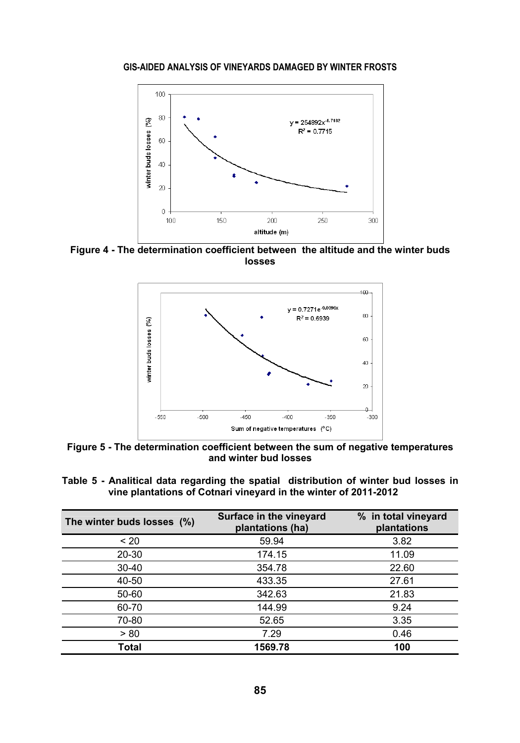#### **GIS-AIDED ANALYSIS OF VINEYARDS DAMAGED BY WINTER FROSTS**



**Figure 4 - The determination coefficient between the altitude and the winter buds losses** 



**Figure 5 - The determination coefficient between the sum of negative temperatures and winter bud losses** 

|  |  |  | Table 5-Analitical data regarding the spatial distribution of winter bud losses in |  |  |
|--|--|--|------------------------------------------------------------------------------------|--|--|
|  |  |  | vine plantations of Cotnari vineyard in the winter of 2011-2012                    |  |  |

| The winter buds losses (%) | Surface in the vineyard<br>plantations (ha) | % in total vineyard<br>plantations |
|----------------------------|---------------------------------------------|------------------------------------|
| < 20                       | 59.94                                       | 3.82                               |
| 20-30                      | 174.15                                      | 11.09                              |
| $30 - 40$                  | 354.78                                      | 22.60                              |
| 40-50                      | 433.35                                      | 27.61                              |
| 50-60                      | 342.63                                      | 21.83                              |
| 60-70                      | 144.99                                      | 9.24                               |
| 70-80                      | 52.65                                       | 3.35                               |
| > 80                       | 7.29                                        | 0.46                               |
| Total                      | 1569.78                                     | 100                                |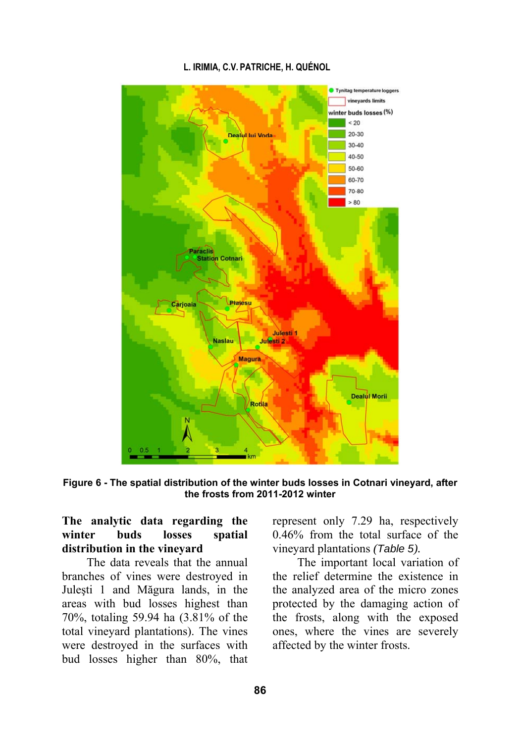

**Figure 6 - The spatial distribution of the winter buds losses in Cotnari vineyard, after the frosts from 2011-2012 winter** 

# **The analytic data regarding the winter buds losses spatial distribution in the vineyard**

The data reveals that the annual branches of vines were destroyed in Juleşti 1 and Măgura lands, in the areas with bud losses highest than 70%, totaling 59.94 ha (3.81% of the total vineyard plantations). The vines were destroyed in the surfaces with bud losses higher than 80%, that represent only 7.29 ha, respectively 0.46% from the total surface of the vineyard plantations *(Table 5).*

The important local variation of the relief determine the existence in the analyzed area of the micro zones protected by the damaging action of the frosts, along with the exposed ones, where the vines are severely affected by the winter frosts.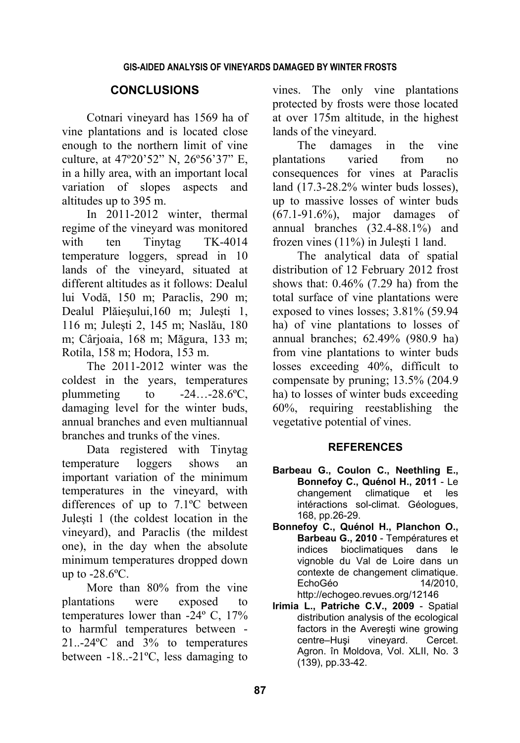# **CONCLUSIONS**

Cotnari vineyard has 1569 ha of vine plantations and is located close enough to the northern limit of vine culture, at 47º20'52" N, 26º56'37" E, in a hilly area, with an important local variation of slopes aspects and altitudes up to 395 m.

In 2011-2012 winter, thermal regime of the vineyard was monitored with ten Tinytag TK-4014 temperature loggers, spread in 10 lands of the vineyard, situated at different altitudes as it follows: Dealul lui Vodă, 150 m; Paraclis, 290 m; Dealul Plăieşului,160 m; Juleşti 1, 116 m; Juleşti 2, 145 m; Naslău, 180 m; Cârjoaia, 168 m; Măgura, 133 m; Rotila, 158 m; Hodora, 153 m.

The 2011-2012 winter was the coldest in the years, temperatures plummeting to  $-24...-28.6$ °C, damaging level for the winter buds, annual branches and even multiannual branches and trunks of the vines.

Data registered with Tinytag temperature loggers shows an important variation of the minimum temperatures in the vineyard, with differences of up to 7.1ºC between Juleşti 1 (the coldest location in the vineyard), and Paraclis (the mildest one), in the day when the absolute minimum temperatures dropped down up to  $-28.6$ °C.

More than 80% from the vine plantations were exposed to temperatures lower than -24º C, 17% to harmful temperatures between - 21..-24ºC and 3% to temperatures between -18..-21ºC, less damaging to

vines. The only vine plantations protected by frosts were those located at over 175m altitude, in the highest lands of the vineyard.

The damages in the vine plantations varied from no consequences for vines at Paraclis land (17.3-28.2% winter buds losses), up to massive losses of winter buds (67.1-91.6%), major damages of annual branches (32.4-88.1%) and frozen vines (11%) in Juleşti 1 land.

The analytical data of spatial distribution of 12 February 2012 frost shows that: 0.46% (7.29 ha) from the total surface of vine plantations were exposed to vines losses; 3.81% (59.94 ha) of vine plantations to losses of annual branches; 62.49% (980.9 ha) from vine plantations to winter buds losses exceeding 40%, difficult to compensate by pruning; 13.5% (204.9 ha) to losses of winter buds exceeding 60%, requiring reestablishing the vegetative potential of vines.

## **REFERENCES**

- **Barbeau G., Coulon C., Neethling E., Bonnefoy C., Quénol H., 2011** - Le changement climatique et les intéractions sol-climat. Géologues, 168, pp.26-29.
- **Bonnefoy C., Quénol H., Planchon O., Barbeau G., 2010** - Températures et indices bioclimatiques dans le vignoble du Val de Loire dans un contexte de changement climatique. EchoGéo 14/2010, http://echogeo.revues.org/12146
- **Irimia L., Patriche C.V., 2009** Spatial distribution analysis of the ecological factors in the Avereşti wine growing centre–Huşi vineyard. Cercet. Agron. în Moldova, Vol. XLII, No. 3 (139), pp.33-42.